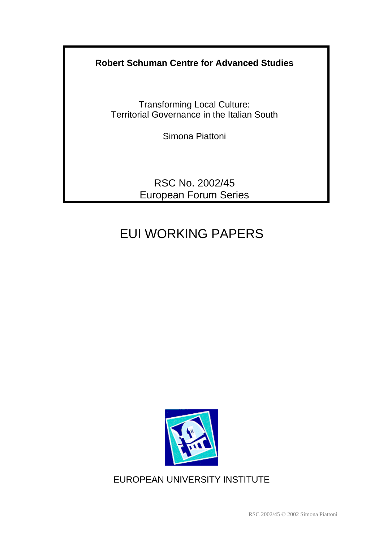**Robert Schuman Centre for Advanced Studies**

Transforming Local Culture: Territorial Governance in the Italian South

Simona Piattoni

RSC No. 2002/45 European Forum Series

# EUI WORKING PAPERS



EUROPEAN UNIVERSITY INSTITUTE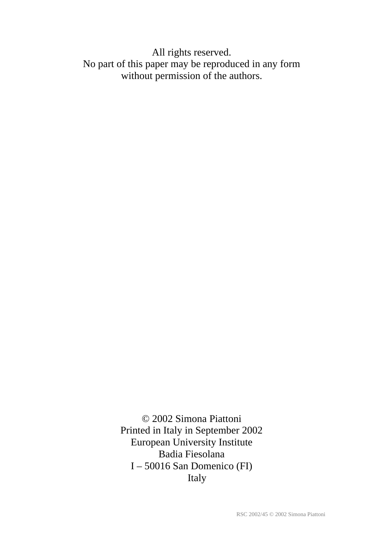All rights reserved. No part of this paper may be reproduced in any form without permission of the authors.

> © 2002 Simona Piattoni Printed in Italy in September 2002 European University Institute Badia Fiesolana I – 50016 San Domenico (FI) Italy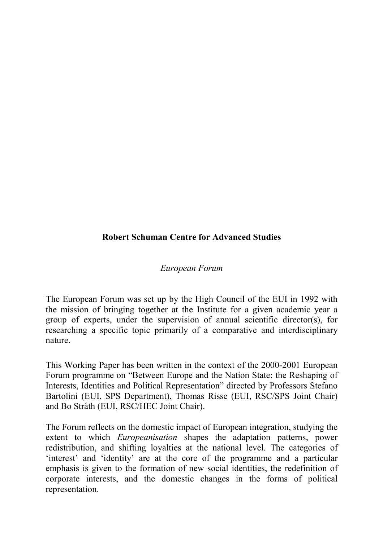# **Robert Schuman Centre for Advanced Studies**

#### *European Forum*

The European Forum was set up by the High Council of the EUI in 1992 with the mission of bringing together at the Institute for a given academic year a group of experts, under the supervision of annual scientific director(s), for researching a specific topic primarily of a comparative and interdisciplinary nature.

This Working Paper has been written in the context of the 2000-2001 European Forum programme on "Between Europe and the Nation State: the Reshaping of Interests, Identities and Political Representation" directed by Professors Stefano Bartolini (EUI, SPS Department), Thomas Risse (EUI, RSC/SPS Joint Chair) and Bo Stråth (EUI, RSC/HEC Joint Chair).

The Forum reflects on the domestic impact of European integration, studying the extent to which *Europeanisation* shapes the adaptation patterns, power redistribution, and shifting loyalties at the national level. The categories of 'interest' and 'identity' are at the core of the programme and a particular emphasis is given to the formation of new social identities, the redefinition of corporate interests, and the domestic changes in the forms of political representation.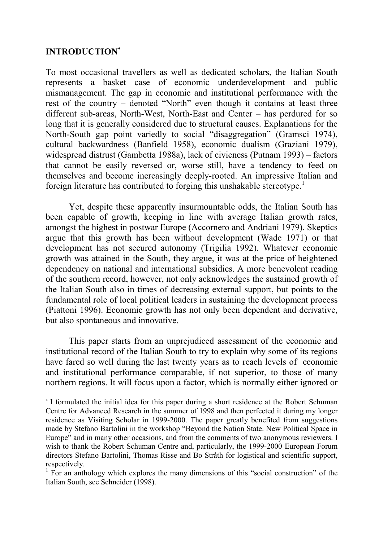## **INTRODUCTION**

To most occasional travellers as well as dedicated scholars, the Italian South represents a basket case of economic underdevelopment and public mismanagement. The gap in economic and institutional performance with the rest of the country – denoted "North" even though it contains at least three different sub-areas, North-West, North-East and Center – has perdured for so long that it is generally considered due to structural causes. Explanations for the North-South gap point variedly to social "disaggregation" (Gramsci 1974), cultural backwardness (Banfield 1958), economic dualism (Graziani 1979), widespread distrust (Gambetta 1988a), lack of civicness (Putnam 1993) – factors that cannot be easily reversed or, worse still, have a tendency to feed on themselves and become increasingly deeply-rooted. An impressive Italian and foreign literature has contributed to forging this unshakable stereotype.1

Yet, despite these apparently insurmountable odds, the Italian South has been capable of growth, keeping in line with average Italian growth rates, amongst the highest in postwar Europe (Accornero and Andriani 1979). Skeptics argue that this growth has been without development (Wade 1971) or that development has not secured autonomy (Trigilia 1992). Whatever economic growth was attained in the South, they argue, it was at the price of heightened dependency on national and international subsidies. A more benevolent reading of the southern record, however, not only acknowledges the sustained growth of the Italian South also in times of decreasing external support, but points to the fundamental role of local political leaders in sustaining the development process (Piattoni 1996). Economic growth has not only been dependent and derivative, but also spontaneous and innovative.

This paper starts from an unprejudiced assessment of the economic and institutional record of the Italian South to try to explain why some of its regions have fared so well during the last twenty years as to reach levels of economic and institutional performance comparable, if not superior, to those of many northern regions. It will focus upon a factor, which is normally either ignored or

I formulated the initial idea for this paper during a short residence at the Robert Schuman Centre for Advanced Research in the summer of 1998 and then perfected it during my longer residence as Visiting Scholar in 1999-2000. The paper greatly benefited from suggestions made by Stefano Bartolini in the workshop "Beyond the Nation State. New Political Space in Europe" and in many other occasions, and from the comments of two anonymous reviewers. I wish to thank the Robert Schuman Centre and, particularly, the 1999-2000 European Forum directors Stefano Bartolini, Thomas Risse and Bo Stråth for logistical and scientific support, respectively.

<sup>&</sup>lt;sup>1</sup> For an anthology which explores the many dimensions of this "social construction" of the Italian South, see Schneider (1998).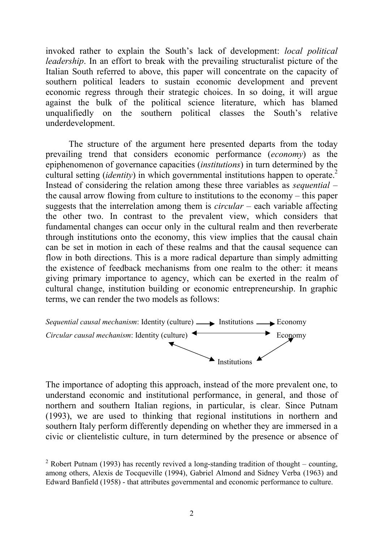invoked rather to explain the South's lack of development: *local political leadership*. In an effort to break with the prevailing structuralist picture of the Italian South referred to above, this paper will concentrate on the capacity of southern political leaders to sustain economic development and prevent economic regress through their strategic choices. In so doing, it will argue against the bulk of the political science literature, which has blamed unqualifiedly on the southern political classes the South's relative underdevelopment.

The structure of the argument here presented departs from the today prevailing trend that considers economic performance (*economy*) as the epiphenomenon of governance capacities (*institutions*) in turn determined by the cultural setting *(identity)* in which governmental institutions happen to operate.<sup>2</sup> Instead of considering the relation among these three variables as *sequential* – the causal arrow flowing from culture to institutions to the economy – this paper suggests that the interrelation among them is *circular* – each variable affecting the other two. In contrast to the prevalent view, which considers that fundamental changes can occur only in the cultural realm and then reverberate through institutions onto the economy, this view implies that the causal chain can be set in motion in each of these realms and that the causal sequence can flow in both directions. This is a more radical departure than simply admitting the existence of feedback mechanisms from one realm to the other: it means giving primary importance to agency, which can be exerted in the realm of cultural change, institution building or economic entrepreneurship. In graphic terms, we can render the two models as follows:



The importance of adopting this approach, instead of the more prevalent one, to understand economic and institutional performance, in general, and those of northern and southern Italian regions, in particular, is clear. Since Putnam (1993), we are used to thinking that regional institutions in northern and southern Italy perform differently depending on whether they are immersed in a civic or clientelistic culture, in turn determined by the presence or absence of

<sup>&</sup>lt;sup>2</sup> Robert Putnam (1993) has recently revived a long-standing tradition of thought – counting, among others, Alexis de Tocqueville (1994), Gabriel Almond and Sidney Verba (1963) and Edward Banfield (1958) - that attributes governmental and economic performance to culture.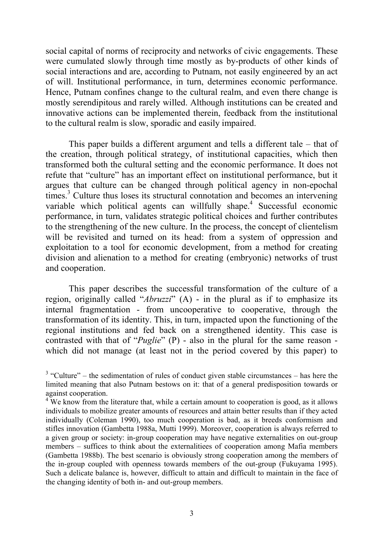social capital of norms of reciprocity and networks of civic engagements. These were cumulated slowly through time mostly as by-products of other kinds of social interactions and are, according to Putnam, not easily engineered by an act of will. Institutional performance, in turn, determines economic performance. Hence, Putnam confines change to the cultural realm, and even there change is mostly serendipitous and rarely willed. Although institutions can be created and innovative actions can be implemented therein, feedback from the institutional to the cultural realm is slow, sporadic and easily impaired.

This paper builds a different argument and tells a different tale – that of the creation, through political strategy, of institutional capacities, which then transformed both the cultural setting and the economic performance. It does not refute that "culture" has an important effect on institutional performance, but it argues that culture can be changed through political agency in non-epochal times.<sup>3</sup> Culture thus loses its structural connotation and becomes an intervening variable which political agents can willfully shape.<sup>4</sup> Successful economic performance, in turn, validates strategic political choices and further contributes to the strengthening of the new culture. In the process, the concept of clientelism will be revisited and turned on its head: from a system of oppression and exploitation to a tool for economic development, from a method for creating division and alienation to a method for creating (embryonic) networks of trust and cooperation.

This paper describes the successful transformation of the culture of a region, originally called "*Abruzzi*" (A) - in the plural as if to emphasize its internal fragmentation - from uncooperative to cooperative, through the transformation of its identity. This, in turn, impacted upon the functioning of the regional institutions and fed back on a strengthened identity. This case is contrasted with that of "*Puglie*" (P) - also in the plural for the same reason which did not manage (at least not in the period covered by this paper) to

 $3$  "Culture" – the sedimentation of rules of conduct given stable circumstances – has here the limited meaning that also Putnam bestows on it: that of a general predisposition towards or against cooperation.

<sup>&</sup>lt;sup>4</sup> We know from the literature that, while a certain amount to cooperation is good, as it allows individuals to mobilize greater amounts of resources and attain better results than if they acted individually (Coleman 1990), too much cooperation is bad, as it breeds conformism and stifles innovation (Gambetta 1988a, Mutti 1999). Moreover, cooperation is always referred to a given group or society: in-group cooperation may have negative externalities on out-group members – suffices to think about the externalitiees of cooperation among Mafia members (Gambetta 1988b). The best scenario is obviously strong cooperation among the members of the in-group coupled with openness towards members of the out-group (Fukuyama 1995). Such a delicate balance is, however, difficult to attain and difficult to maintain in the face of the changing identity of both in- and out-group members.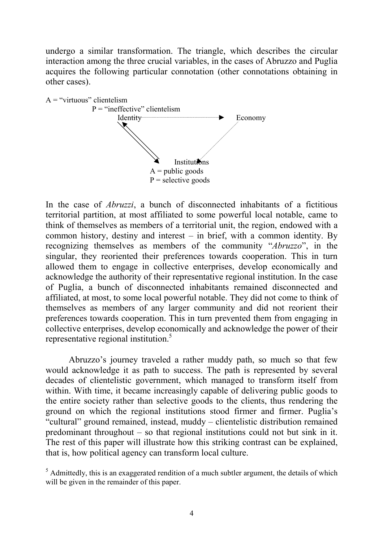undergo a similar transformation. The triangle, which describes the circular interaction among the three crucial variables, in the cases of Abruzzo and Puglia acquires the following particular connotation (other connotations obtaining in other cases).



In the case of *Abruzzi*, a bunch of disconnected inhabitants of a fictitious territorial partition, at most affiliated to some powerful local notable, came to think of themselves as members of a territorial unit, the region, endowed with a common history, destiny and interest – in brief, with a common identity. By recognizing themselves as members of the community "*Abruzzo*", in the singular, they reoriented their preferences towards cooperation. This in turn allowed them to engage in collective enterprises, develop economically and acknowledge the authority of their representative regional institution. In the case of Puglia, a bunch of disconnected inhabitants remained disconnected and affiliated, at most, to some local powerful notable. They did not come to think of themselves as members of any larger community and did not reorient their preferences towards cooperation. This in turn prevented them from engaging in collective enterprises, develop economically and acknowledge the power of their representative regional institution.5

Abruzzo's journey traveled a rather muddy path, so much so that few would acknowledge it as path to success. The path is represented by several decades of clientelistic government, which managed to transform itself from within. With time, it became increasingly capable of delivering public goods to the entire society rather than selective goods to the clients, thus rendering the ground on which the regional institutions stood firmer and firmer. Puglia's "cultural" ground remained, instead, muddy – clientelistic distribution remained predominant throughout – so that regional institutions could not but sink in it. The rest of this paper will illustrate how this striking contrast can be explained, that is, how political agency can transform local culture.

 $<sup>5</sup>$  Admittedly, this is an exaggerated rendition of a much subtler argument, the details of which</sup> will be given in the remainder of this paper.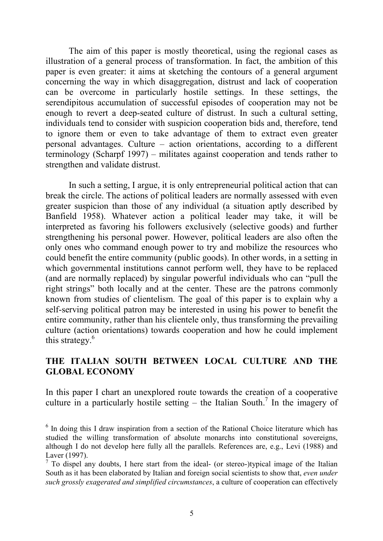The aim of this paper is mostly theoretical, using the regional cases as illustration of a general process of transformation. In fact, the ambition of this paper is even greater: it aims at sketching the contours of a general argument concerning the way in which disaggregation, distrust and lack of cooperation can be overcome in particularly hostile settings. In these settings, the serendipitous accumulation of successful episodes of cooperation may not be enough to revert a deep-seated culture of distrust. In such a cultural setting, individuals tend to consider with suspicion cooperation bids and, therefore, tend to ignore them or even to take advantage of them to extract even greater personal advantages. Culture – action orientations, according to a different terminology (Scharpf 1997) – militates against cooperation and tends rather to strengthen and validate distrust.

In such a setting, I argue, it is only entrepreneurial political action that can break the circle. The actions of political leaders are normally assessed with even greater suspicion than those of any individual (a situation aptly described by Banfield 1958). Whatever action a political leader may take, it will be interpreted as favoring his followers exclusively (selective goods) and further strengthening his personal power. However, political leaders are also often the only ones who command enough power to try and mobilize the resources who could benefit the entire community (public goods). In other words, in a setting in which governmental institutions cannot perform well, they have to be replaced (and are normally replaced) by singular powerful individuals who can "pull the right strings" both locally and at the center. These are the patrons commonly known from studies of clientelism. The goal of this paper is to explain why a self-serving political patron may be interested in using his power to benefit the entire community, rather than his clientele only, thus transforming the prevailing culture (action orientations) towards cooperation and how he could implement this strategy.<sup>6</sup>

# **THE ITALIAN SOUTH BETWEEN LOCAL CULTURE AND THE GLOBAL ECONOMY**

In this paper I chart an unexplored route towards the creation of a cooperative culture in a particularly hostile setting  $-$  the Italian South.<sup>7</sup> In the imagery of

<sup>&</sup>lt;sup>6</sup> In doing this I draw inspiration from a section of the Rational Choice literature which has studied the willing transformation of absolute monarchs into constitutional sovereigns, although I do not develop here fully all the parallels. References are, e.g., Levi (1988) and Laver (1997).

 $<sup>7</sup>$  To dispel any doubts, I here start from the ideal- (or stereo-)typical image of the Italian</sup> South as it has been elaborated by Italian and foreign social scientists to show that, *even under such grossly exagerated and simplified circumstances*, a culture of cooperation can effectively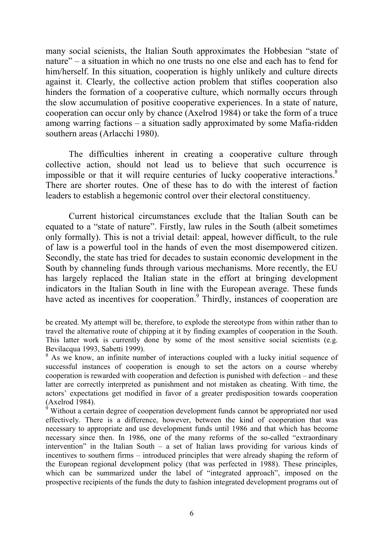many social scienists, the Italian South approximates the Hobbesian "state of nature" – a situation in which no one trusts no one else and each has to fend for him/herself. In this situation, cooperation is highly unlikely and culture directs against it. Clearly, the collective action problem that stifles cooperation also hinders the formation of a cooperative culture, which normally occurs through the slow accumulation of positive cooperative experiences. In a state of nature, cooperation can occur only by chance (Axelrod 1984) or take the form of a truce among warring factions – a situation sadly approximated by some Mafia-ridden southern areas (Arlacchi 1980).

The difficulties inherent in creating a cooperative culture through collective action, should not lead us to believe that such occurrence is impossible or that it will require centuries of lucky cooperative interactions.<sup>8</sup> There are shorter routes. One of these has to do with the interest of faction leaders to establish a hegemonic control over their electoral constituency.

Current historical circumstances exclude that the Italian South can be equated to a "state of nature". Firstly, law rules in the South (albeit sometimes only formally). This is not a trivial detail: appeal, however difficult, to the rule of law is a powerful tool in the hands of even the most disempowered citizen. Secondly, the state has tried for decades to sustain economic development in the South by channeling funds through various mechanisms. More recently, the EU has largely replaced the Italian state in the effort at bringing development indicators in the Italian South in line with the European average. These funds have acted as incentives for cooperation.<sup>9</sup> Thirdly, instances of cooperation are

be created. My attempt will be, therefore, to explode the stereotype from within rather than to travel the alternative route of chipping at it by finding examples of cooperation in the South. This latter work is currently done by some of the most sensitive social scientists (e.g. Bevilacqua 1993, Sabetti 1999).

<sup>&</sup>lt;sup>8</sup> As we know, an infinite number of interactions coupled with a lucky initial sequence of successful instances of cooperation is enough to set the actors on a course whereby cooperation is rewarded with cooperation and defection is punished with defection – and these latter are correctly interpreted as punishment and not mistaken as cheating. With time, the actors' expectations get modified in favor of a greater predisposition towards cooperation (Axelrod 1984).

 $\dot{9}$  Without a certain degree of cooperation development funds cannot be appropriated nor used effectively. There is a difference, however, between the kind of cooperation that was necessary to appropriate and use development funds until 1986 and that which has become necessary since then. In 1986, one of the many reforms of the so-called "extraordinary intervention" in the Italian South – a set of Italian laws providing for various kinds of incentives to southern firms – introduced principles that were already shaping the reform of the European regional development policy (that was perfected in 1988). These principles, which can be summarized under the label of "integrated approach", imposed on the prospective recipients of the funds the duty to fashion integrated development programs out of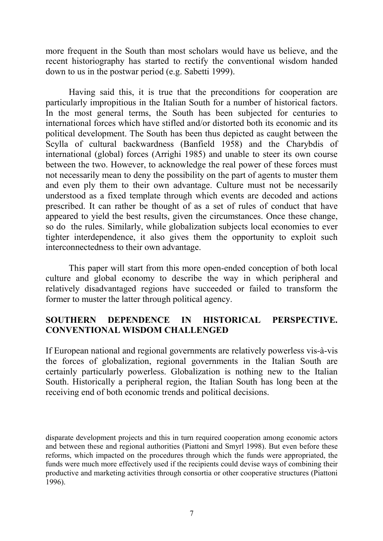more frequent in the South than most scholars would have us believe, and the recent historiography has started to rectify the conventional wisdom handed down to us in the postwar period (e.g. Sabetti 1999).

Having said this, it is true that the preconditions for cooperation are particularly impropitious in the Italian South for a number of historical factors. In the most general terms, the South has been subjected for centuries to international forces which have stifled and/or distorted both its economic and its political development. The South has been thus depicted as caught between the Scylla of cultural backwardness (Banfield 1958) and the Charybdis of international (global) forces (Arrighi 1985) and unable to steer its own course between the two. However, to acknowledge the real power of these forces must not necessarily mean to deny the possibility on the part of agents to muster them and even ply them to their own advantage. Culture must not be necessarily understood as a fixed template through which events are decoded and actions prescribed. It can rather be thought of as a set of rules of conduct that have appeared to yield the best results, given the circumstances. Once these change, so do the rules. Similarly, while globalization subjects local economies to ever tighter interdependence, it also gives them the opportunity to exploit such interconnectedness to their own advantage.

This paper will start from this more open-ended conception of both local culture and global economy to describe the way in which peripheral and relatively disadvantaged regions have succeeded or failed to transform the former to muster the latter through political agency.

# **SOUTHERN DEPENDENCE IN HISTORICAL PERSPECTIVE. CONVENTIONAL WISDOM CHALLENGED**

If European national and regional governments are relatively powerless vis-à-vis the forces of globalization, regional governments in the Italian South are certainly particularly powerless. Globalization is nothing new to the Italian South. Historically a peripheral region, the Italian South has long been at the receiving end of both economic trends and political decisions.

disparate development projects and this in turn required cooperation among economic actors and between these and regional authorities (Piattoni and Smyrl 1998). But even before these reforms, which impacted on the procedures through which the funds were appropriated, the funds were much more effectively used if the recipients could devise ways of combining their productive and marketing activities through consortia or other cooperative structures (Piattoni 1996).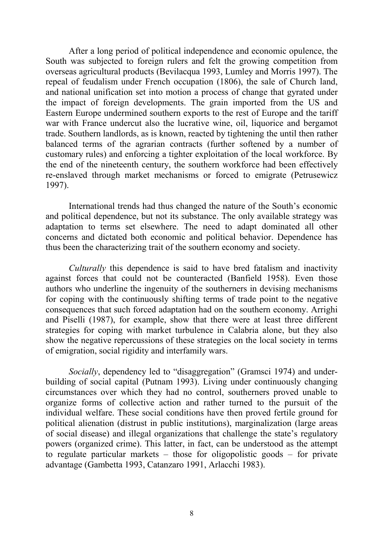After a long period of political independence and economic opulence, the South was subjected to foreign rulers and felt the growing competition from overseas agricultural products (Bevilacqua 1993, Lumley and Morris 1997). The repeal of feudalism under French occupation (1806), the sale of Church land, and national unification set into motion a process of change that gyrated under the impact of foreign developments. The grain imported from the US and Eastern Europe undermined southern exports to the rest of Europe and the tariff war with France undercut also the lucrative wine, oil, liquorice and bergamot trade. Southern landlords, as is known, reacted by tightening the until then rather balanced terms of the agrarian contracts (further softened by a number of customary rules) and enforcing a tighter exploitation of the local workforce. By the end of the nineteenth century, the southern workforce had been effectively re-enslaved through market mechanisms or forced to emigrate (Petrusewicz 1997).

International trends had thus changed the nature of the South's economic and political dependence, but not its substance. The only available strategy was adaptation to terms set elsewhere. The need to adapt dominated all other concerns and dictated both economic and political behavior. Dependence has thus been the characterizing trait of the southern economy and society.

*Culturally* this dependence is said to have bred fatalism and inactivity against forces that could not be counteracted (Banfield 1958). Even those authors who underline the ingenuity of the southerners in devising mechanisms for coping with the continuously shifting terms of trade point to the negative consequences that such forced adaptation had on the southern economy. Arrighi and Piselli (1987), for example, show that there were at least three different strategies for coping with market turbulence in Calabria alone, but they also show the negative repercussions of these strategies on the local society in terms of emigration, social rigidity and interfamily wars.

*Socially*, dependency led to "disaggregation" (Gramsci 1974) and underbuilding of social capital (Putnam 1993). Living under continuously changing circumstances over which they had no control, southerners proved unable to organize forms of collective action and rather turned to the pursuit of the individual welfare. These social conditions have then proved fertile ground for political alienation (distrust in public institutions), marginalization (large areas of social disease) and illegal organizations that challenge the state's regulatory powers (organized crime). This latter, in fact, can be understood as the attempt to regulate particular markets – those for oligopolistic goods – for private advantage (Gambetta 1993, Catanzaro 1991, Arlacchi 1983).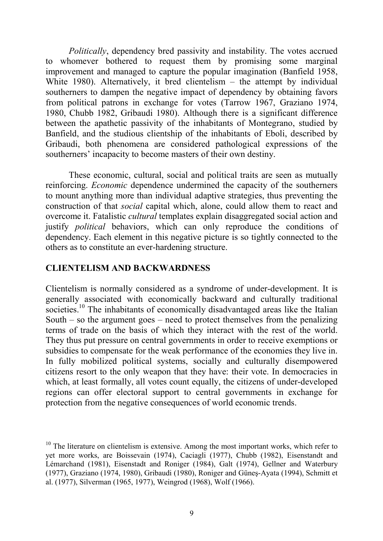*Politically*, dependency bred passivity and instability. The votes accrued to whomever bothered to request them by promising some marginal improvement and managed to capture the popular imagination (Banfield 1958, White 1980). Alternatively, it bred clientelism – the attempt by individual southerners to dampen the negative impact of dependency by obtaining favors from political patrons in exchange for votes (Tarrow 1967, Graziano 1974, 1980, Chubb 1982, Gribaudi 1980). Although there is a significant difference between the apathetic passivity of the inhabitants of Montegrano, studied by Banfield, and the studious clientship of the inhabitants of Eboli, described by Gribaudi, both phenomena are considered pathological expressions of the southerners' incapacity to become masters of their own destiny.

These economic, cultural, social and political traits are seen as mutually reinforcing. *Economic* dependence undermined the capacity of the southerners to mount anything more than individual adaptive strategies, thus preventing the construction of that *social* capital which, alone, could allow them to react and overcome it. Fatalistic *cultural* templates explain disaggregated social action and justify *political* behaviors, which can only reproduce the conditions of dependency. Each element in this negative picture is so tightly connected to the others as to constitute an ever-hardening structure.

## **CLIENTELISM AND BACKWARDNESS**

Clientelism is normally considered as a syndrome of under-development. It is generally associated with economically backward and culturally traditional societies.<sup>10</sup> The inhabitants of economically disadvantaged areas like the Italian South – so the argument goes – need to protect themselves from the penalizing terms of trade on the basis of which they interact with the rest of the world. They thus put pressure on central governments in order to receive exemptions or subsidies to compensate for the weak performance of the economies they live in. In fully mobilized political systems, socially and culturally disempowered citizens resort to the only weapon that they have: their vote. In democracies in which, at least formally, all votes count equally, the citizens of under-developed regions can offer electoral support to central governments in exchange for protection from the negative consequences of world economic trends.

 $10$  The literature on clientelism is extensive. Among the most important works, which refer to yet more works, are Boissevain (1974), Caciagli (1977), Chubb (1982), Eisenstandt and Lémarchand (1981), Eisenstadt and Roniger (1984), Galt (1974), Gellner and Waterbury (1977), Graziano (1974, 1980), Gribaudi (1980), Roniger and Güneş-Ayata (1994), Schmitt et al. (1977), Silverman (1965, 1977), Weingrod (1968), Wolf (1966).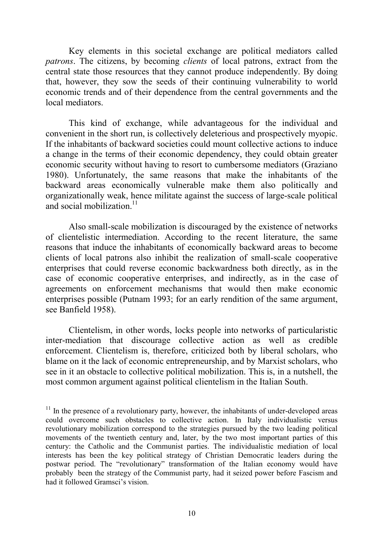Key elements in this societal exchange are political mediators called *patrons*. The citizens, by becoming *clients* of local patrons, extract from the central state those resources that they cannot produce independently. By doing that, however, they sow the seeds of their continuing vulnerability to world economic trends and of their dependence from the central governments and the local mediators.

This kind of exchange, while advantageous for the individual and convenient in the short run, is collectively deleterious and prospectively myopic. If the inhabitants of backward societies could mount collective actions to induce a change in the terms of their economic dependency, they could obtain greater economic security without having to resort to cumbersome mediators (Graziano 1980). Unfortunately, the same reasons that make the inhabitants of the backward areas economically vulnerable make them also politically and organizationally weak, hence militate against the success of large-scale political and social mobilization. $11$ 

Also small-scale mobilization is discouraged by the existence of networks of clientelistic intermediation. According to the recent literature, the same reasons that induce the inhabitants of economically backward areas to become clients of local patrons also inhibit the realization of small-scale cooperative enterprises that could reverse economic backwardness both directly, as in the case of economic cooperative enterprises, and indirectly, as in the case of agreements on enforcement mechanisms that would then make economic enterprises possible (Putnam 1993; for an early rendition of the same argument, see Banfield 1958).

Clientelism, in other words, locks people into networks of particularistic inter-mediation that discourage collective action as well as credible enforcement. Clientelism is, therefore, criticized both by liberal scholars, who blame on it the lack of economic entrepreneurship, and by Marxist scholars, who see in it an obstacle to collective political mobilization. This is, in a nutshell, the most common argument against political clientelism in the Italian South.

 $11$  In the presence of a revolutionary party, however, the inhabitants of under-developed areas could overcome such obstacles to collective action. In Italy individualistic versus revolutionary mobilization correspond to the strategies pursued by the two leading political movements of the twentieth century and, later, by the two most important parties of this century: the Catholic and the Communist parties. The individualistic mediation of local interests has been the key political strategy of Christian Democratic leaders during the postwar period. The "revolutionary" transformation of the Italian economy would have probably been the strategy of the Communist party, had it seized power before Fascism and had it followed Gramsci's vision.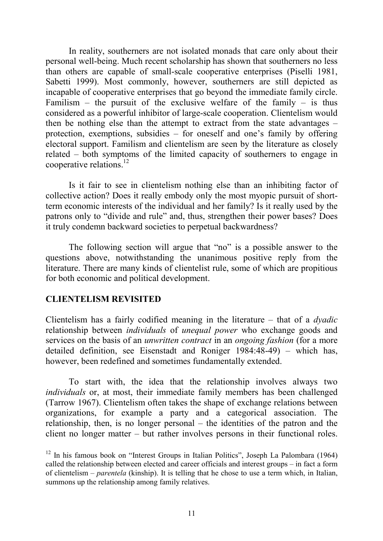In reality, southerners are not isolated monads that care only about their personal well-being. Much recent scholarship has shown that southerners no less than others are capable of small-scale cooperative enterprises (Piselli 1981, Sabetti 1999). Most commonly, however, southerners are still depicted as incapable of cooperative enterprises that go beyond the immediate family circle. Familism – the pursuit of the exclusive welfare of the family – is thus considered as a powerful inhibitor of large-scale cooperation. Clientelism would then be nothing else than the attempt to extract from the state advantages – protection, exemptions, subsidies – for oneself and one's family by offering electoral support. Familism and clientelism are seen by the literature as closely related – both symptoms of the limited capacity of southerners to engage in cooperative relations.<sup>12</sup>

Is it fair to see in clientelism nothing else than an inhibiting factor of collective action? Does it really embody only the most myopic pursuit of shortterm economic interests of the individual and her family? Is it really used by the patrons only to "divide and rule" and, thus, strengthen their power bases? Does it truly condemn backward societies to perpetual backwardness?

The following section will argue that "no" is a possible answer to the questions above, notwithstanding the unanimous positive reply from the literature. There are many kinds of clientelist rule, some of which are propitious for both economic and political development.

### **CLIENTELISM REVISITED**

Clientelism has a fairly codified meaning in the literature – that of a *dyadic* relationship between *individuals* of *unequal power* who exchange goods and services on the basis of an *unwritten contract* in an *ongoing fashion* (for a more detailed definition, see Eisenstadt and Roniger 1984:48-49) – which has, however, been redefined and sometimes fundamentally extended.

To start with, the idea that the relationship involves always two *individuals* or, at most, their immediate family members has been challenged (Tarrow 1967). Clientelism often takes the shape of exchange relations between organizations, for example a party and a categorical association. The relationship, then, is no longer personal – the identities of the patron and the client no longer matter – but rather involves persons in their functional roles.

 $12$  In his famous book on "Interest Groups in Italian Politics", Joseph La Palombara (1964) called the relationship between elected and career officials and interest groups – in fact a form of clientelism – *parentela* (kinship). It is telling that he chose to use a term which, in Italian, summons up the relationship among family relatives.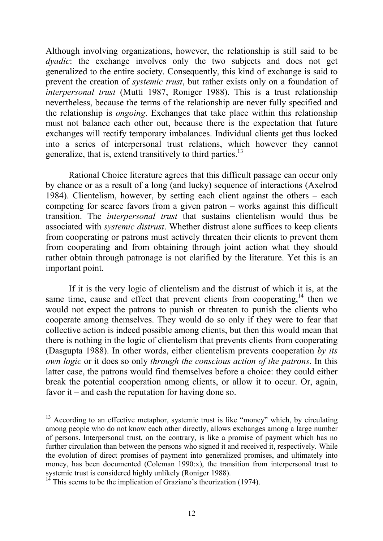Although involving organizations, however, the relationship is still said to be *dyadic*: the exchange involves only the two subjects and does not get generalized to the entire society. Consequently, this kind of exchange is said to prevent the creation of *systemic trust*, but rather exists only on a foundation of *interpersonal trust* (Mutti 1987, Roniger 1988). This is a trust relationship nevertheless, because the terms of the relationship are never fully specified and the relationship is *ongoing*. Exchanges that take place within this relationship must not balance each other out, because there is the expectation that future exchanges will rectify temporary imbalances. Individual clients get thus locked into a series of interpersonal trust relations, which however they cannot generalize, that is, extend transitively to third parties. $^{13}$ 

Rational Choice literature agrees that this difficult passage can occur only by chance or as a result of a long (and lucky) sequence of interactions (Axelrod 1984). Clientelism, however, by setting each client against the others – each competing for scarce favors from a given patron – works against this difficult transition. The *interpersonal trust* that sustains clientelism would thus be associated with *systemic distrust*. Whether distrust alone suffices to keep clients from cooperating or patrons must actively threaten their clients to prevent them from cooperating and from obtaining through joint action what they should rather obtain through patronage is not clarified by the literature. Yet this is an important point.

If it is the very logic of clientelism and the distrust of which it is, at the same time, cause and effect that prevent clients from cooperating,  $14$  then we would not expect the patrons to punish or threaten to punish the clients who cooperate among themselves. They would do so only if they were to fear that collective action is indeed possible among clients, but then this would mean that there is nothing in the logic of clientelism that prevents clients from cooperating (Dasgupta 1988). In other words, either clientelism prevents cooperation *by its own logic* or it does so only *through the conscious action of the patrons*. In this latter case, the patrons would find themselves before a choice: they could either break the potential cooperation among clients, or allow it to occur. Or, again, favor it – and cash the reputation for having done so.

<sup>&</sup>lt;sup>13</sup> According to an effective metaphor, systemic trust is like "money" which, by circulating among people who do not know each other directly, allows exchanges among a large number of persons. Interpersonal trust, on the contrary, is like a promise of payment which has no further circulation than between the persons who signed it and received it, respectively. While the evolution of direct promises of payment into generalized promises, and ultimately into money, has been documented (Coleman 1990:x), the transition from interpersonal trust to systemic trust is considered highly unlikely (Roniger 1988).

This seems to be the implication of Graziano's theorization (1974).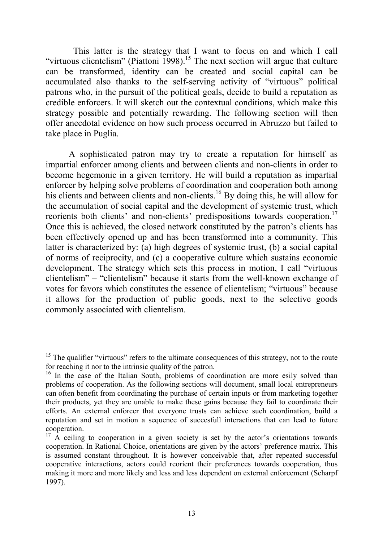This latter is the strategy that I want to focus on and which I call "virtuous clientelism" (Piattoni 1998).<sup>15</sup> The next section will argue that culture can be transformed, identity can be created and social capital can be accumulated also thanks to the self-serving activity of "virtuous" political patrons who, in the pursuit of the political goals, decide to build a reputation as credible enforcers. It will sketch out the contextual conditions, which make this strategy possible and potentially rewarding. The following section will then offer anecdotal evidence on how such process occurred in Abruzzo but failed to take place in Puglia.

A sophisticated patron may try to create a reputation for himself as impartial enforcer among clients and between clients and non-clients in order to become hegemonic in a given territory. He will build a reputation as impartial enforcer by helping solve problems of coordination and cooperation both among his clients and between clients and non-clients.<sup>16</sup> By doing this, he will allow for the accumulation of social capital and the development of systemic trust, which reorients both clients' and non-clients' predispositions towards cooperation.<sup>17</sup> Once this is achieved, the closed network constituted by the patron's clients has been effectively opened up and has been transformed into a community. This latter is characterized by: (a) high degrees of systemic trust, (b) a social capital of norms of reciprocity, and (c) a cooperative culture which sustains economic development. The strategy which sets this process in motion, I call "virtuous clientelism" – "clientelism" because it starts from the well-known exchange of votes for favors which constitutes the essence of clientelism; "virtuous" because it allows for the production of public goods, next to the selective goods commonly associated with clientelism.

 $15$  The qualifier "virtuous" refers to the ultimate consequences of this strategy, not to the route for reaching it nor to the intrinsic quality of the patron.

<sup>&</sup>lt;sup>16</sup> In the case of the Italian South, problems of coordination are more esily solved than problems of cooperation. As the following sections will document, small local entrepreneurs can often benefit from coordinating the purchase of certain inputs or from marketing together their products, yet they are unable to make these gains because they fail to coordinate their efforts. An external enforcer that everyone trusts can achieve such coordination, build a reputation and set in motion a sequence of succesfull interactions that can lead to future cooperation.

<sup>&</sup>lt;sup>17</sup> A ceiling to cooperation in a given society is set by the actor's orientations towards cooperation. In Rational Choice, orientations are given by the actors' preference matrix. This is assumed constant throughout. It is however conceivable that, after repeated successful cooperative interactions, actors could reorient their preferences towards cooperation, thus making it more and more likely and less and less dependent on external enforcement (Scharpf 1997).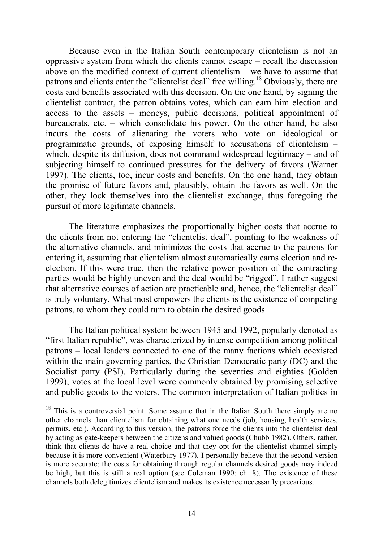Because even in the Italian South contemporary clientelism is not an oppressive system from which the clients cannot escape – recall the discussion above on the modified context of current clientelism – we have to assume that patrons and clients enter the "clientelist deal" free willing.<sup>18</sup> Obviously, there are costs and benefits associated with this decision. On the one hand, by signing the clientelist contract, the patron obtains votes, which can earn him election and access to the assets – moneys, public decisions, political appointment of bureaucrats, etc. – which consolidate his power. On the other hand, he also incurs the costs of alienating the voters who vote on ideological or programmatic grounds, of exposing himself to accusations of clientelism – which, despite its diffusion, does not command widespread legitimacy – and of subjecting himself to continued pressures for the delivery of favors (Warner 1997). The clients, too, incur costs and benefits. On the one hand, they obtain the promise of future favors and, plausibly, obtain the favors as well. On the other, they lock themselves into the clientelist exchange, thus foregoing the pursuit of more legitimate channels.

The literature emphasizes the proportionally higher costs that accrue to the clients from not entering the "clientelist deal", pointing to the weakness of the alternative channels, and minimizes the costs that accrue to the patrons for entering it, assuming that clientelism almost automatically earns election and reelection. If this were true, then the relative power position of the contracting parties would be highly uneven and the deal would be "rigged". I rather suggest that alternative courses of action are practicable and, hence, the "clientelist deal" is truly voluntary. What most empowers the clients is the existence of competing patrons, to whom they could turn to obtain the desired goods.

The Italian political system between 1945 and 1992, popularly denoted as "first Italian republic", was characterized by intense competition among political patrons – local leaders connected to one of the many factions which coexisted within the main governing parties, the Christian Democratic party (DC) and the Socialist party (PSI). Particularly during the seventies and eighties (Golden 1999), votes at the local level were commonly obtained by promising selective and public goods to the voters. The common interpretation of Italian politics in

 $18$  This is a controversial point. Some assume that in the Italian South there simply are no other channels than clientelism for obtaining what one needs (job, housing, health services, permits, etc.). According to this version, the patrons force the clients into the clientelist deal by acting as gate-keepers between the citizens and valued goods (Chubb 1982). Others, rather, think that clients do have a real choice and that they opt for the clientelist channel simply because it is more convenient (Waterbury 1977). I personally believe that the second version is more accurate: the costs for obtaining through regular channels desired goods may indeed be high, but this is still a real option (see Coleman 1990: ch. 8). The existence of these channels both delegitimizes clientelism and makes its existence necessarily precarious.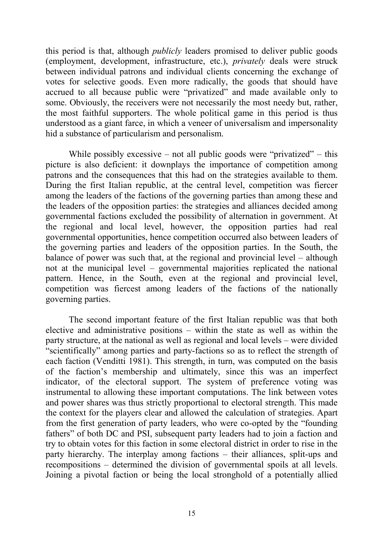this period is that, although *publicly* leaders promised to deliver public goods (employment, development, infrastructure, etc.), *privately* deals were struck between individual patrons and individual clients concerning the exchange of votes for selective goods. Even more radically, the goods that should have accrued to all because public were "privatized" and made available only to some. Obviously, the receivers were not necessarily the most needy but, rather, the most faithful supporters. The whole political game in this period is thus understood as a giant farce, in which a veneer of universalism and impersonality hid a substance of particularism and personalism.

While possibly excessive – not all public goods were "privatized" – this picture is also deficient: it downplays the importance of competition among patrons and the consequences that this had on the strategies available to them. During the first Italian republic, at the central level, competition was fiercer among the leaders of the factions of the governing parties than among these and the leaders of the opposition parties: the strategies and alliances decided among governmental factions excluded the possibility of alternation in government. At the regional and local level, however, the opposition parties had real governmental opportunities, hence competition occurred also between leaders of the governing parties and leaders of the opposition parties. In the South, the balance of power was such that, at the regional and provincial level – although not at the municipal level – governmental majorities replicated the national pattern. Hence, in the South, even at the regional and provincial level, competition was fiercest among leaders of the factions of the nationally governing parties.

The second important feature of the first Italian republic was that both elective and administrative positions – within the state as well as within the party structure, at the national as well as regional and local levels – were divided "scientifically" among parties and party-factions so as to reflect the strength of each faction (Venditti 1981). This strength, in turn, was computed on the basis of the faction's membership and ultimately, since this was an imperfect indicator, of the electoral support. The system of preference voting was instrumental to allowing these important computations. The link between votes and power shares was thus strictly proportional to electoral strength. This made the context for the players clear and allowed the calculation of strategies. Apart from the first generation of party leaders, who were co-opted by the "founding fathers" of both DC and PSI, subsequent party leaders had to join a faction and try to obtain votes for this faction in some electoral district in order to rise in the party hierarchy. The interplay among factions – their alliances, split-ups and recompositions – determined the division of governmental spoils at all levels. Joining a pivotal faction or being the local stronghold of a potentially allied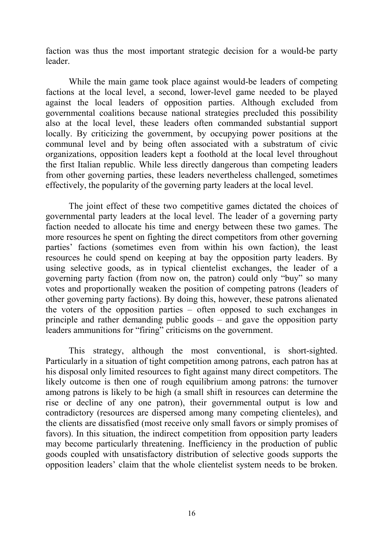faction was thus the most important strategic decision for a would-be party leader.

While the main game took place against would-be leaders of competing factions at the local level, a second, lower-level game needed to be played against the local leaders of opposition parties. Although excluded from governmental coalitions because national strategies precluded this possibility also at the local level, these leaders often commanded substantial support locally. By criticizing the government, by occupying power positions at the communal level and by being often associated with a substratum of civic organizations, opposition leaders kept a foothold at the local level throughout the first Italian republic. While less directly dangerous than competing leaders from other governing parties, these leaders nevertheless challenged, sometimes effectively, the popularity of the governing party leaders at the local level.

The joint effect of these two competitive games dictated the choices of governmental party leaders at the local level. The leader of a governing party faction needed to allocate his time and energy between these two games. The more resources he spent on fighting the direct competitors from other governing parties' factions (sometimes even from within his own faction), the least resources he could spend on keeping at bay the opposition party leaders. By using selective goods, as in typical clientelist exchanges, the leader of a governing party faction (from now on, the patron) could only "buy" so many votes and proportionally weaken the position of competing patrons (leaders of other governing party factions). By doing this, however, these patrons alienated the voters of the opposition parties – often opposed to such exchanges in principle and rather demanding public goods – and gave the opposition party leaders ammunitions for "firing" criticisms on the government.

This strategy, although the most conventional, is short-sighted. Particularly in a situation of tight competition among patrons, each patron has at his disposal only limited resources to fight against many direct competitors. The likely outcome is then one of rough equilibrium among patrons: the turnover among patrons is likely to be high (a small shift in resources can determine the rise or decline of any one patron), their governmental output is low and contradictory (resources are dispersed among many competing clienteles), and the clients are dissatisfied (most receive only small favors or simply promises of favors). In this situation, the indirect competition from opposition party leaders may become particularly threatening. Inefficiency in the production of public goods coupled with unsatisfactory distribution of selective goods supports the opposition leaders' claim that the whole clientelist system needs to be broken.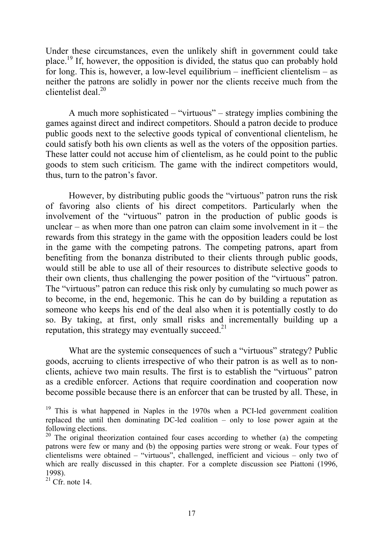Under these circumstances, even the unlikely shift in government could take place.19 If, however, the opposition is divided, the status quo can probably hold for long. This is, however, a low-level equilibrium – inefficient clientelism – as neither the patrons are solidly in power nor the clients receive much from the clientelist deal. $^{20}$ 

A much more sophisticated – "virtuous" – strategy implies combining the games against direct and indirect competitors. Should a patron decide to produce public goods next to the selective goods typical of conventional clientelism, he could satisfy both his own clients as well as the voters of the opposition parties. These latter could not accuse him of clientelism, as he could point to the public goods to stem such criticism. The game with the indirect competitors would, thus, turn to the patron's favor.

However, by distributing public goods the "virtuous" patron runs the risk of favoring also clients of his direct competitors. Particularly when the involvement of the "virtuous" patron in the production of public goods is unclear – as when more than one patron can claim some involvement in  $it$  – the rewards from this strategy in the game with the opposition leaders could be lost in the game with the competing patrons. The competing patrons, apart from benefiting from the bonanza distributed to their clients through public goods, would still be able to use all of their resources to distribute selective goods to their own clients, thus challenging the power position of the "virtuous" patron. The "virtuous" patron can reduce this risk only by cumulating so much power as to become, in the end, hegemonic. This he can do by building a reputation as someone who keeps his end of the deal also when it is potentially costly to do so. By taking, at first, only small risks and incrementally building up a reputation, this strategy may eventually succeed.<sup>21</sup>

What are the systemic consequences of such a "virtuous" strategy? Public goods, accruing to clients irrespective of who their patron is as well as to nonclients, achieve two main results. The first is to establish the "virtuous" patron as a credible enforcer. Actions that require coordination and cooperation now become possible because there is an enforcer that can be trusted by all. These, in

 $21$  Cfr. note 14.

 $19$  This is what happened in Naples in the 1970s when a PCI-led government coalition replaced the until then dominating DC-led coalition – only to lose power again at the following elections.

<sup>&</sup>lt;sup>20</sup> The original theorization contained four cases according to whether (a) the competing patrons were few or many and (b) the opposing parties were strong or weak. Four types of clientelisms were obtained – "virtuous", challenged, inefficient and vicious – only two of which are really discussed in this chapter. For a complete discussion see Piattoni (1996, 1998).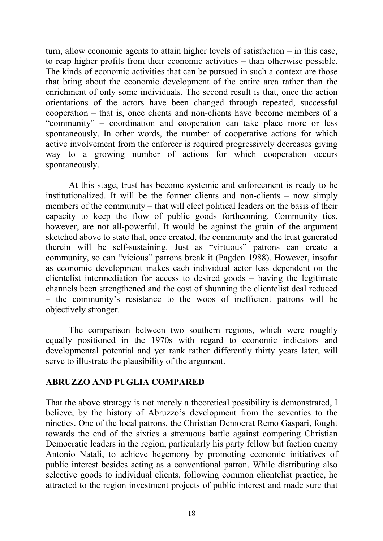turn, allow economic agents to attain higher levels of satisfaction – in this case, to reap higher profits from their economic activities – than otherwise possible. The kinds of economic activities that can be pursued in such a context are those that bring about the economic development of the entire area rather than the enrichment of only some individuals. The second result is that, once the action orientations of the actors have been changed through repeated, successful cooperation – that is, once clients and non-clients have become members of a "community" – coordination and cooperation can take place more or less spontaneously. In other words, the number of cooperative actions for which active involvement from the enforcer is required progressively decreases giving way to a growing number of actions for which cooperation occurs spontaneously.

At this stage, trust has become systemic and enforcement is ready to be institutionalized. It will be the former clients and non-clients – now simply members of the community – that will elect political leaders on the basis of their capacity to keep the flow of public goods forthcoming. Community ties, however, are not all-powerful. It would be against the grain of the argument sketched above to state that, once created, the community and the trust generated therein will be self-sustaining. Just as "virtuous" patrons can create a community, so can "vicious" patrons break it (Pagden 1988). However, insofar as economic development makes each individual actor less dependent on the clientelist intermediation for access to desired goods – having the legitimate channels been strengthened and the cost of shunning the clientelist deal reduced – the community's resistance to the woos of inefficient patrons will be objectively stronger.

The comparison between two southern regions, which were roughly equally positioned in the 1970s with regard to economic indicators and developmental potential and yet rank rather differently thirty years later, will serve to illustrate the plausibility of the argument.

### **ABRUZZO AND PUGLIA COMPARED**

That the above strategy is not merely a theoretical possibility is demonstrated, I believe, by the history of Abruzzo's development from the seventies to the nineties. One of the local patrons, the Christian Democrat Remo Gaspari, fought towards the end of the sixties a strenuous battle against competing Christian Democratic leaders in the region, particularly his party fellow but faction enemy Antonio Natali, to achieve hegemony by promoting economic initiatives of public interest besides acting as a conventional patron. While distributing also selective goods to individual clients, following common clientelist practice, he attracted to the region investment projects of public interest and made sure that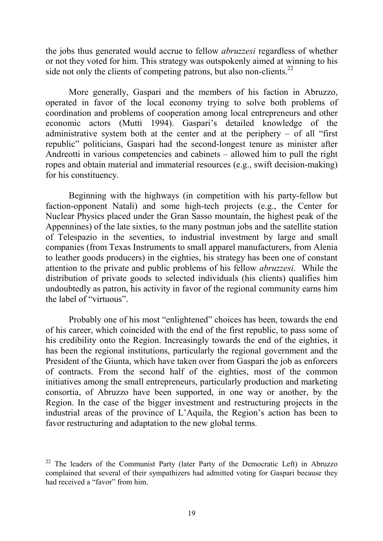the jobs thus generated would accrue to fellow *abruzzesi* regardless of whether or not they voted for him. This strategy was outspokenly aimed at winning to his side not only the clients of competing patrons, but also non-clients.<sup>22</sup>

More generally, Gaspari and the members of his faction in Abruzzo, operated in favor of the local economy trying to solve both problems of coordination and problems of cooperation among local entrepreneurs and other economic actors (Mutti 1994). Gaspari's detailed knowledge of the administrative system both at the center and at the periphery  $-$  of all "first" republic" politicians, Gaspari had the second-longest tenure as minister after Andreotti in various competencies and cabinets – allowed him to pull the right ropes and obtain material and immaterial resources (e.g., swift decision-making) for his constituency.

Beginning with the highways (in competition with his party-fellow but faction-opponent Natali) and some high-tech projects (e.g., the Center for Nuclear Physics placed under the Gran Sasso mountain, the highest peak of the Appennines) of the late sixties, to the many postman jobs and the satellite station of Telespazio in the seventies, to industrial investment by large and small companies (from Texas Instruments to small apparel manufacturers, from Alenia to leather goods producers) in the eighties, his strategy has been one of constant attention to the private and public problems of his fellow *abruzzesi*. While the distribution of private goods to selected individuals (his clients) qualifies him undoubtedly as patron, his activity in favor of the regional community earns him the label of "virtuous".

Probably one of his most "enlightened" choices has been, towards the end of his career, which coincided with the end of the first republic, to pass some of his credibility onto the Region. Increasingly towards the end of the eighties, it has been the regional institutions, particularly the regional government and the President of the Giunta, which have taken over from Gaspari the job as enforcers of contracts. From the second half of the eighties, most of the common initiatives among the small entrepreneurs, particularly production and marketing consortia, of Abruzzo have been supported, in one way or another, by the Region. In the case of the bigger investment and restructuring projects in the industrial areas of the province of L'Aquila, the Region's action has been to favor restructuring and adaptation to the new global terms.

<sup>&</sup>lt;sup>22</sup> The leaders of the Communist Party (later Party of the Democratic Left) in Abruzzo complained that several of their sympathizers had admitted voting for Gaspari because they had received a "favor" from him.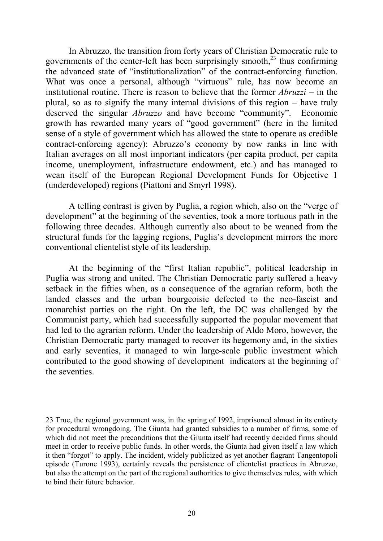In Abruzzo, the transition from forty years of Christian Democratic rule to governments of the center-left has been surprisingly smooth, $^{23}$  thus confirming the advanced state of "institutionalization" of the contract-enforcing function. What was once a personal, although "virtuous" rule, has now become an institutional routine. There is reason to believe that the former *Abruzzi* – in the plural, so as to signify the many internal divisions of this region – have truly deserved the singular *Abruzzo* and have become "community". Economic growth has rewarded many years of "good government" (here in the limited sense of a style of government which has allowed the state to operate as credible contract-enforcing agency): Abruzzo's economy by now ranks in line with Italian averages on all most important indicators (per capita product, per capita income, unemployment, infrastructure endowment, etc.) and has managed to wean itself of the European Regional Development Funds for Objective 1 (underdeveloped) regions (Piattoni and Smyrl 1998).

A telling contrast is given by Puglia, a region which, also on the "verge of development" at the beginning of the seventies, took a more tortuous path in the following three decades. Although currently also about to be weaned from the structural funds for the lagging regions, Puglia's development mirrors the more conventional clientelist style of its leadership.

At the beginning of the "first Italian republic", political leadership in Puglia was strong and united. The Christian Democratic party suffered a heavy setback in the fifties when, as a consequence of the agrarian reform, both the landed classes and the urban bourgeoisie defected to the neo-fascist and monarchist parties on the right. On the left, the DC was challenged by the Communist party, which had successfully supported the popular movement that had led to the agrarian reform. Under the leadership of Aldo Moro, however, the Christian Democratic party managed to recover its hegemony and, in the sixties and early seventies, it managed to win large-scale public investment which contributed to the good showing of development indicators at the beginning of the seventies.

23 True, the regional government was, in the spring of 1992, imprisoned almost in its entirety for procedural wrongdoing. The Giunta had granted subsidies to a number of firms, some of which did not meet the preconditions that the Giunta itself had recently decided firms should meet in order to receive public funds. In other words, the Giunta had given itself a law which it then "forgot" to apply. The incident, widely publicized as yet another flagrant Tangentopoli episode (Turone 1993), certainly reveals the persistence of clientelist practices in Abruzzo, but also the attempt on the part of the regional authorities to give themselves rules, with which to bind their future behavior.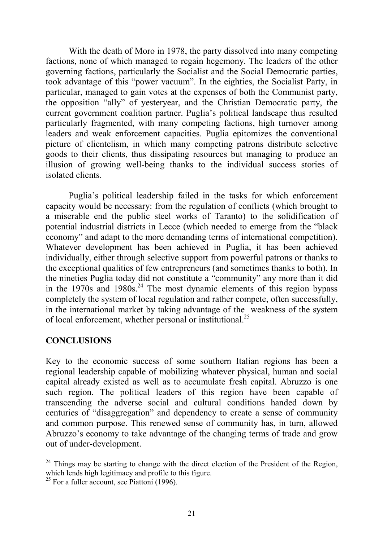With the death of Moro in 1978, the party dissolved into many competing factions, none of which managed to regain hegemony. The leaders of the other governing factions, particularly the Socialist and the Social Democratic parties, took advantage of this "power vacuum". In the eighties, the Socialist Party, in particular, managed to gain votes at the expenses of both the Communist party, the opposition "ally" of yesteryear, and the Christian Democratic party, the current government coalition partner. Puglia's political landscape thus resulted particularly fragmented, with many competing factions, high turnover among leaders and weak enforcement capacities. Puglia epitomizes the conventional picture of clientelism, in which many competing patrons distribute selective goods to their clients, thus dissipating resources but managing to produce an illusion of growing well-being thanks to the individual success stories of isolated clients.

Puglia's political leadership failed in the tasks for which enforcement capacity would be necessary: from the regulation of conflicts (which brought to a miserable end the public steel works of Taranto) to the solidification of potential industrial districts in Lecce (which needed to emerge from the "black economy" and adapt to the more demanding terms of international competition). Whatever development has been achieved in Puglia, it has been achieved individually, either through selective support from powerful patrons or thanks to the exceptional qualities of few entrepreneurs (and sometimes thanks to both). In the nineties Puglia today did not constitute a "community" any more than it did in the  $1970s$  and  $1980s<sup>24</sup>$ . The most dynamic elements of this region bypass completely the system of local regulation and rather compete, often successfully, in the international market by taking advantage of the weakness of the system of local enforcement, whether personal or institutional.25

### **CONCLUSIONS**

Key to the economic success of some southern Italian regions has been a regional leadership capable of mobilizing whatever physical, human and social capital already existed as well as to accumulate fresh capital. Abruzzo is one such region. The political leaders of this region have been capable of transcending the adverse social and cultural conditions handed down by centuries of "disaggregation" and dependency to create a sense of community and common purpose. This renewed sense of community has, in turn, allowed Abruzzo's economy to take advantage of the changing terms of trade and grow out of under-development.

 $24$  Things may be starting to change with the direct election of the President of the Region, which lends high legitimacy and profile to this figure.

 $25$  For a fuller account, see Piattoni (1996).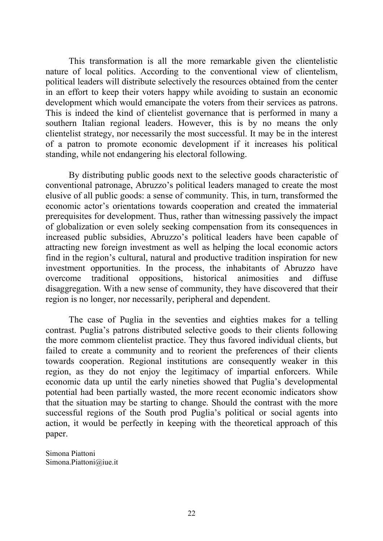This transformation is all the more remarkable given the clientelistic nature of local politics. According to the conventional view of clientelism, political leaders will distribute selectively the resources obtained from the center in an effort to keep their voters happy while avoiding to sustain an economic development which would emancipate the voters from their services as patrons. This is indeed the kind of clientelist governance that is performed in many a southern Italian regional leaders. However, this is by no means the only clientelist strategy, nor necessarily the most successful. It may be in the interest of a patron to promote economic development if it increases his political standing, while not endangering his electoral following.

By distributing public goods next to the selective goods characteristic of conventional patronage, Abruzzo's political leaders managed to create the most elusive of all public goods: a sense of community. This, in turn, transformed the economic actor's orientations towards cooperation and created the immaterial prerequisites for development. Thus, rather than witnessing passively the impact of globalization or even solely seeking compensation from its consequences in increased public subsidies, Abruzzo's political leaders have been capable of attracting new foreign investment as well as helping the local economic actors find in the region's cultural, natural and productive tradition inspiration for new investment opportunities. In the process, the inhabitants of Abruzzo have overcome traditional oppositions, historical animosities and diffuse disaggregation. With a new sense of community, they have discovered that their region is no longer, nor necessarily, peripheral and dependent.

The case of Puglia in the seventies and eighties makes for a telling contrast. Puglia's patrons distributed selective goods to their clients following the more commom clientelist practice. They thus favored individual clients, but failed to create a community and to reorient the preferences of their clients towards cooperation. Regional institutions are consequently weaker in this region, as they do not enjoy the legitimacy of impartial enforcers. While economic data up until the early nineties showed that Puglia's developmental potential had been partially wasted, the more recent economic indicators show that the situation may be starting to change. Should the contrast with the more successful regions of the South prod Puglia's political or social agents into action, it would be perfectly in keeping with the theoretical approach of this paper.

Simona Piattoni Simona.Piattoni@iue.it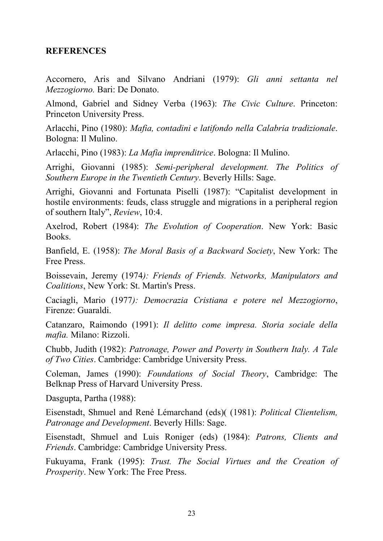#### **REFERENCES**

Accornero, Aris and Silvano Andriani (1979): *Gli anni settanta nel Mezzogiorno.* Bari: De Donato.

Almond, Gabriel and Sidney Verba (1963): *The Civic Culture*. Princeton: Princeton University Press.

Arlacchi, Pino (1980): *Mafia, contadini e latifondo nella Calabria tradizionale*. Bologna: Il Mulino.

Arlacchi, Pino (1983): *La Mafia imprenditrice*. Bologna: Il Mulino.

Arrighi, Giovanni (1985): *Semi-peripheral development. The Politics of Southern Europe in the Twentieth Century*. Beverly Hills: Sage.

Arrighi, Giovanni and Fortunata Piselli (1987): "Capitalist development in hostile environments: feuds, class struggle and migrations in a peripheral region of southern Italy", *Review*, 10:4.

Axelrod, Robert (1984): *The Evolution of Cooperation*. New York: Basic Books.

Banfield, E. (1958): *The Moral Basis of a Backward Society*, New York: The Free Press.

Boissevain, Jeremy (1974*): Friends of Friends. Networks, Manipulators and Coalitions*, New York: St. Martin's Press.

Caciagli, Mario (1977*): Democrazia Cristiana e potere nel Mezzogiorno*, Firenze: Guaraldi.

Catanzaro, Raimondo (1991): *Il delitto come impresa. Storia sociale della mafia.* Milano: Rizzoli.

Chubb, Judith (1982): *Patronage, Power and Poverty in Southern Italy. A Tale of Two Cities*. Cambridge: Cambridge University Press.

Coleman, James (1990): *Foundations of Social Theory*, Cambridge: The Belknap Press of Harvard University Press.

Dasgupta, Partha (1988):

Eisenstadt, Shmuel and René Lémarchand (eds)( (1981): *Political Clientelism, Patronage and Development*. Beverly Hills: Sage.

Eisenstadt, Shmuel and Luis Roniger (eds) (1984): *Patrons, Clients and Friends*. Cambridge: Cambridge University Press.

Fukuyama, Frank (1995): *Trust. The Social Virtues and the Creation of Prosperity*. New York: The Free Press.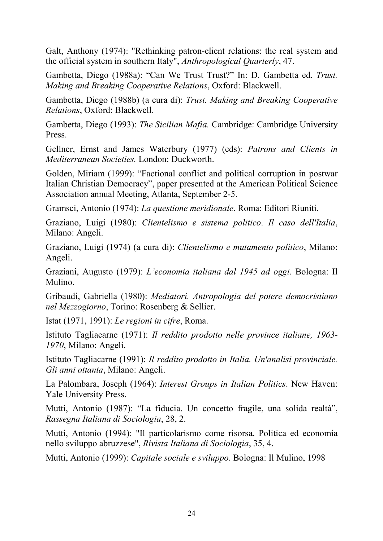Galt, Anthony (1974): "Rethinking patron-client relations: the real system and the official system in southern Italy", *Anthropological Quarterly*, 47.

Gambetta, Diego (1988a): "Can We Trust Trust?" In: D. Gambetta ed. *Trust. Making and Breaking Cooperative Relations*, Oxford: Blackwell.

Gambetta, Diego (1988b) (a cura di): *Trust. Making and Breaking Cooperative Relations*, Oxford: Blackwell.

Gambetta, Diego (1993): *The Sicilian Mafia.* Cambridge: Cambridge University Press.

Gellner, Ernst and James Waterbury (1977) (eds): *Patrons and Clients in Mediterranean Societies.* London: Duckworth.

Golden, Miriam (1999): "Factional conflict and political corruption in postwar Italian Christian Democracy", paper presented at the American Political Science Association annual Meeting, Atlanta, September 2-5.

Gramsci, Antonio (1974): *La questione meridionale*. Roma: Editori Riuniti.

Graziano, Luigi (1980): *Clientelismo e sistema politico*. *Il caso dell'Italia*, Milano: Angeli.

Graziano, Luigi (1974) (a cura di): *Clientelismo e mutamento politico*, Milano: Angeli.

Graziani, Augusto (1979): *L'economia italiana dal 1945 ad oggi*. Bologna: Il Mulino.

Gribaudi, Gabriella (1980): *Mediatori. Antropologia del potere democristiano nel Mezzogiorno*, Torino: Rosenberg & Sellier.

Istat (1971, 1991): *Le regioni in cifre*, Roma.

Istituto Tagliacarne (1971): *Il reddito prodotto nelle province italiane, 1963- 1970*, Milano: Angeli.

Istituto Tagliacarne (1991): *Il reddito prodotto in Italia. Un'analisi provinciale. Gli anni ottanta*, Milano: Angeli.

La Palombara, Joseph (1964): *Interest Groups in Italian Politics*. New Haven: Yale University Press.

Mutti, Antonio (1987): "La fiducia. Un concetto fragile, una solida realtà", *Rassegna Italiana di Sociologia*, 28, 2.

Mutti, Antonio (1994): "Il particolarismo come risorsa. Politica ed economia nello sviluppo abruzzese", *Rivista Italiana di Sociologia*, 35, 4.

Mutti, Antonio (1999): *Capitale sociale e sviluppo*. Bologna: Il Mulino, 1998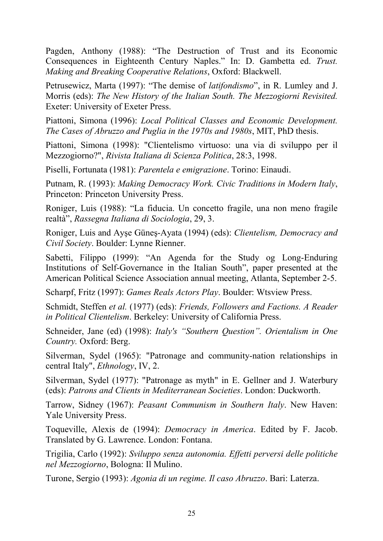Pagden, Anthony (1988): "The Destruction of Trust and its Economic Consequences in Eighteenth Century Naples." In: D. Gambetta ed. *Trust. Making and Breaking Cooperative Relations*, Oxford: Blackwell.

Petrusewicz, Marta (1997): "The demise of *latifondismo*", in R. Lumley and J. Morris (eds): *The New History of the Italian South. The Mezzogiorni Revisited.* Exeter: University of Exeter Press.

Piattoni, Simona (1996): *Local Political Classes and Economic Development. The Cases of Abruzzo and Puglia in the 1970s and 1980s*, MIT, PhD thesis.

Piattoni, Simona (1998): "Clientelismo virtuoso: una via di sviluppo per il Mezzogiorno?", *Rivista Italiana di Scienza Politica*, 28:3, 1998.

Piselli, Fortunata (1981): *Parentela e emigrazione*. Torino: Einaudi.

Putnam, R. (1993): *Making Democracy Work. Civic Traditions in Modern Italy*, Princeton: Princeton University Press.

Roniger, Luis (1988): "La fiducia. Un concetto fragile, una non meno fragile realtà", *Rassegna Italiana di Sociologia*, 29, 3.

Roniger, Luis and Ayşe Güneş-Ayata (1994) (eds): *Clientelism, Democracy and Civil Society*. Boulder: Lynne Rienner.

Sabetti, Filippo (1999): "An Agenda for the Study og Long-Enduring Institutions of Self-Governance in the Italian South", paper presented at the American Political Science Association annual meeting, Atlanta, September 2-5.

Scharpf, Fritz (1997): *Games Reals Actors Play*. Boulder: Wtsview Press.

Schmidt, Steffen *et al.* (1977) (eds): *Friends, Followers and Factions. A Reader in Political Clientelism*. Berkeley: University of California Press.

Schneider, Jane (ed) (1998): *Italy's "Southern Question". Orientalism in One Country.* Oxford: Berg.

Silverman, Sydel (1965): "Patronage and community-nation relationships in central Italy", *Ethnology*, IV, 2.

Silverman, Sydel (1977): "Patronage as myth" in E. Gellner and J. Waterbury (eds): *Patrons and Clients in Mediterranean Societies*. London: Duckworth.

Tarrow, Sidney (1967): *Peasant Communism in Southern Italy*. New Haven: Yale University Press.

Toqueville, Alexis de (1994): *Democracy in America*. Edited by F. Jacob. Translated by G. Lawrence. London: Fontana.

Trigilia, Carlo (1992): *Sviluppo senza autonomia. Effetti perversi delle politiche nel Mezzogiorno*, Bologna: Il Mulino.

Turone, Sergio (1993): *Agonia di un regime. Il caso Abruzzo*. Bari: Laterza.